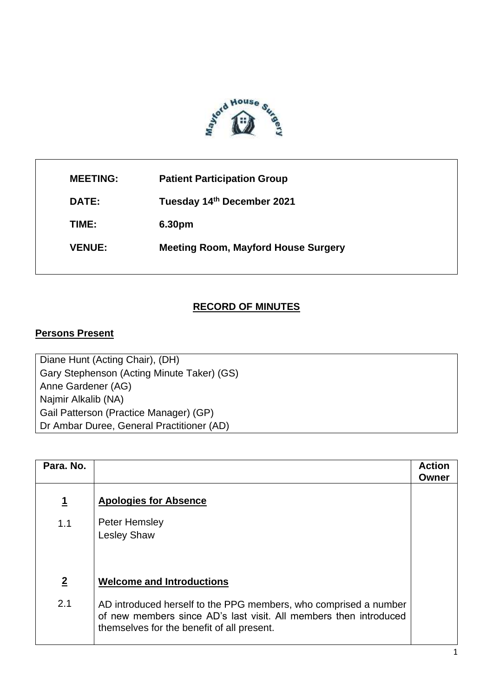

| <b>MEETING:</b> | <b>Patient Participation Group</b>         |
|-----------------|--------------------------------------------|
| DATE:           | Tuesday 14th December 2021                 |
| TIME:           | 6.30pm                                     |
| <b>VENUE:</b>   | <b>Meeting Room, Mayford House Surgery</b> |
|                 |                                            |

ı

## **RECORD OF MINUTES**

## **Persons Present**

Diane Hunt (Acting Chair), (DH) Gary Stephenson (Acting Minute Taker) (GS) Anne Gardener (AG) Najmir Alkalib (NA) Gail Patterson (Practice Manager) (GP) Dr Ambar Duree, General Practitioner (AD)

| Para, No.      |                                                                                                                                                                                     | <b>Action</b><br>Owner |
|----------------|-------------------------------------------------------------------------------------------------------------------------------------------------------------------------------------|------------------------|
| <u>1</u>       | <b>Apologies for Absence</b>                                                                                                                                                        |                        |
| 1.1            | Peter Hemsley<br><b>Lesley Shaw</b>                                                                                                                                                 |                        |
| $\overline{2}$ | <b>Welcome and Introductions</b>                                                                                                                                                    |                        |
| 2.1            | AD introduced herself to the PPG members, who comprised a number<br>of new members since AD's last visit. All members then introduced<br>themselves for the benefit of all present. |                        |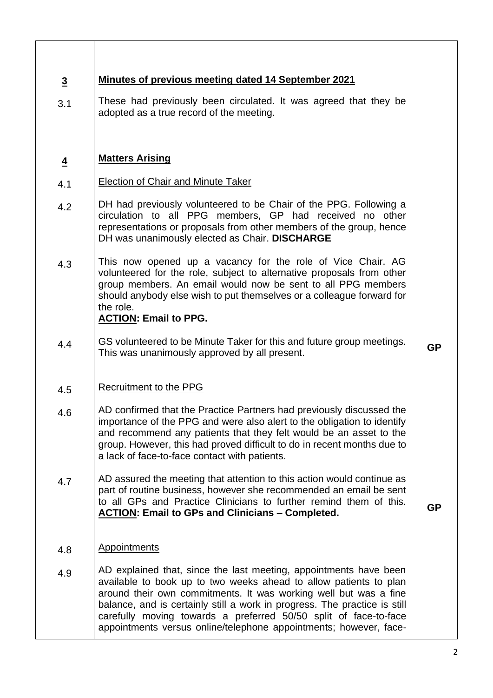| $\overline{3}$ | <b>Minutes of previous meeting dated 14 September 2021</b>                                                                                                                                                                                                                                                                                                                                                                       |           |
|----------------|----------------------------------------------------------------------------------------------------------------------------------------------------------------------------------------------------------------------------------------------------------------------------------------------------------------------------------------------------------------------------------------------------------------------------------|-----------|
| 3.1            | These had previously been circulated. It was agreed that they be<br>adopted as a true record of the meeting.                                                                                                                                                                                                                                                                                                                     |           |
| $\overline{4}$ | <b>Matters Arising</b>                                                                                                                                                                                                                                                                                                                                                                                                           |           |
| 4.1            | <b>Election of Chair and Minute Taker</b>                                                                                                                                                                                                                                                                                                                                                                                        |           |
| 4.2            | DH had previously volunteered to be Chair of the PPG. Following a<br>circulation to all PPG members, GP had received no other<br>representations or proposals from other members of the group, hence<br>DH was unanimously elected as Chair. DISCHARGE                                                                                                                                                                           |           |
| 4.3            | This now opened up a vacancy for the role of Vice Chair. AG<br>volunteered for the role, subject to alternative proposals from other<br>group members. An email would now be sent to all PPG members<br>should anybody else wish to put themselves or a colleague forward for<br>the role.<br><b>ACTION: Email to PPG.</b>                                                                                                       |           |
| 4.4            | GS volunteered to be Minute Taker for this and future group meetings.<br>This was unanimously approved by all present.                                                                                                                                                                                                                                                                                                           | <b>GP</b> |
| 4.5            | <b>Recruitment to the PPG</b>                                                                                                                                                                                                                                                                                                                                                                                                    |           |
| 4.6            | AD confirmed that the Practice Partners had previously discussed the<br>importance of the PPG and were also alert to the obligation to identify<br>and recommend any patients that they felt would be an asset to the<br>group. However, this had proved difficult to do in recent months due to<br>a lack of face-to-face contact with patients.                                                                                |           |
| 4.7            | AD assured the meeting that attention to this action would continue as<br>part of routine business, however she recommended an email be sent<br>to all GPs and Practice Clinicians to further remind them of this.<br><b>ACTION: Email to GPs and Clinicians - Completed.</b>                                                                                                                                                    | <b>GP</b> |
| 4.8            | <b>Appointments</b>                                                                                                                                                                                                                                                                                                                                                                                                              |           |
| 4.9            | AD explained that, since the last meeting, appointments have been<br>available to book up to two weeks ahead to allow patients to plan<br>around their own commitments. It was working well but was a fine<br>balance, and is certainly still a work in progress. The practice is still<br>carefully moving towards a preferred 50/50 split of face-to-face<br>appointments versus online/telephone appointments; however, face- |           |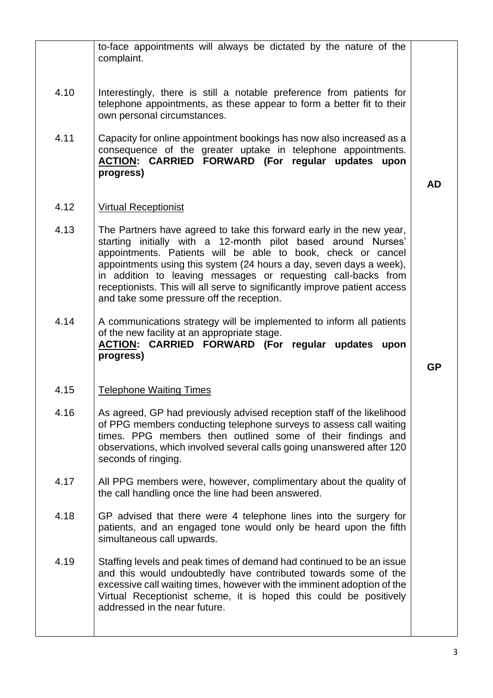|      | to-face appointments will always be dictated by the nature of the<br>complaint.                                                                                                                                                                                                                                                                                                                                                                                          |           |
|------|--------------------------------------------------------------------------------------------------------------------------------------------------------------------------------------------------------------------------------------------------------------------------------------------------------------------------------------------------------------------------------------------------------------------------------------------------------------------------|-----------|
| 4.10 | Interestingly, there is still a notable preference from patients for<br>telephone appointments, as these appear to form a better fit to their<br>own personal circumstances.                                                                                                                                                                                                                                                                                             |           |
| 4.11 | Capacity for online appointment bookings has now also increased as a<br>consequence of the greater uptake in telephone appointments.<br>ACTION: CARRIED FORWARD (For regular updates upon<br>progress)                                                                                                                                                                                                                                                                   | <b>AD</b> |
| 4.12 | <b>Virtual Receptionist</b>                                                                                                                                                                                                                                                                                                                                                                                                                                              |           |
| 4.13 | The Partners have agreed to take this forward early in the new year,<br>starting initially with a 12-month pilot based around Nurses'<br>appointments. Patients will be able to book, check or cancel<br>appointments using this system (24 hours a day, seven days a week),<br>in addition to leaving messages or requesting call-backs from<br>receptionists. This will all serve to significantly improve patient access<br>and take some pressure off the reception. |           |
| 4.14 | A communications strategy will be implemented to inform all patients<br>of the new facility at an appropriate stage.<br>ACTION: CARRIED FORWARD (For regular updates upon<br>progress)                                                                                                                                                                                                                                                                                   | <b>GP</b> |
| 4.15 | <b>Telephone Waiting Times</b>                                                                                                                                                                                                                                                                                                                                                                                                                                           |           |
| 4.16 | As agreed, GP had previously advised reception staff of the likelihood<br>of PPG members conducting telephone surveys to assess call waiting<br>times. PPG members then outlined some of their findings and<br>observations, which involved several calls going unanswered after 120<br>seconds of ringing.                                                                                                                                                              |           |
| 4.17 | All PPG members were, however, complimentary about the quality of<br>the call handling once the line had been answered.                                                                                                                                                                                                                                                                                                                                                  |           |
| 4.18 | GP advised that there were 4 telephone lines into the surgery for<br>patients, and an engaged tone would only be heard upon the fifth<br>simultaneous call upwards.                                                                                                                                                                                                                                                                                                      |           |
| 4.19 | Staffing levels and peak times of demand had continued to be an issue<br>and this would undoubtedly have contributed towards some of the<br>excessive call waiting times, however with the imminent adoption of the<br>Virtual Receptionist scheme, it is hoped this could be positively<br>addressed in the near future.                                                                                                                                                |           |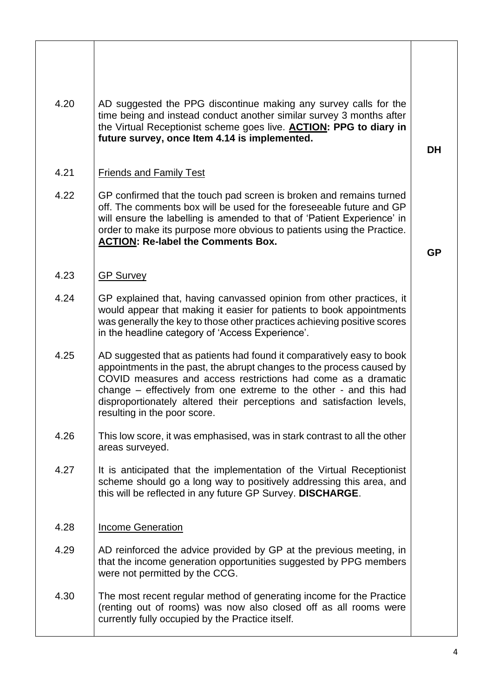| 4.20 | AD suggested the PPG discontinue making any survey calls for the<br>time being and instead conduct another similar survey 3 months after<br>the Virtual Receptionist scheme goes live. <b>ACTION: PPG to diary in</b><br>future survey, once Item 4.14 is implemented.                                                                                                                        | <b>DH</b> |
|------|-----------------------------------------------------------------------------------------------------------------------------------------------------------------------------------------------------------------------------------------------------------------------------------------------------------------------------------------------------------------------------------------------|-----------|
| 4.21 | <b>Friends and Family Test</b>                                                                                                                                                                                                                                                                                                                                                                |           |
| 4.22 | GP confirmed that the touch pad screen is broken and remains turned<br>off. The comments box will be used for the foreseeable future and GP<br>will ensure the labelling is amended to that of 'Patient Experience' in<br>order to make its purpose more obvious to patients using the Practice.<br><b>ACTION: Re-label the Comments Box.</b>                                                 | <b>GP</b> |
| 4.23 | <b>GP Survey</b>                                                                                                                                                                                                                                                                                                                                                                              |           |
| 4.24 | GP explained that, having canvassed opinion from other practices, it<br>would appear that making it easier for patients to book appointments<br>was generally the key to those other practices achieving positive scores<br>in the headline category of 'Access Experience'.                                                                                                                  |           |
| 4.25 | AD suggested that as patients had found it comparatively easy to book<br>appointments in the past, the abrupt changes to the process caused by<br>COVID measures and access restrictions had come as a dramatic<br>change – effectively from one extreme to the other - and this had<br>disproportionately altered their perceptions and satisfaction levels,<br>resulting in the poor score. |           |
| 4.26 | This low score, it was emphasised, was in stark contrast to all the other<br>areas surveyed.                                                                                                                                                                                                                                                                                                  |           |
| 4.27 | It is anticipated that the implementation of the Virtual Receptionist<br>scheme should go a long way to positively addressing this area, and<br>this will be reflected in any future GP Survey. DISCHARGE.                                                                                                                                                                                    |           |
| 4.28 | <b>Income Generation</b>                                                                                                                                                                                                                                                                                                                                                                      |           |
| 4.29 | AD reinforced the advice provided by GP at the previous meeting, in<br>that the income generation opportunities suggested by PPG members<br>were not permitted by the CCG.                                                                                                                                                                                                                    |           |
| 4.30 | The most recent regular method of generating income for the Practice<br>(renting out of rooms) was now also closed off as all rooms were<br>currently fully occupied by the Practice itself.                                                                                                                                                                                                  |           |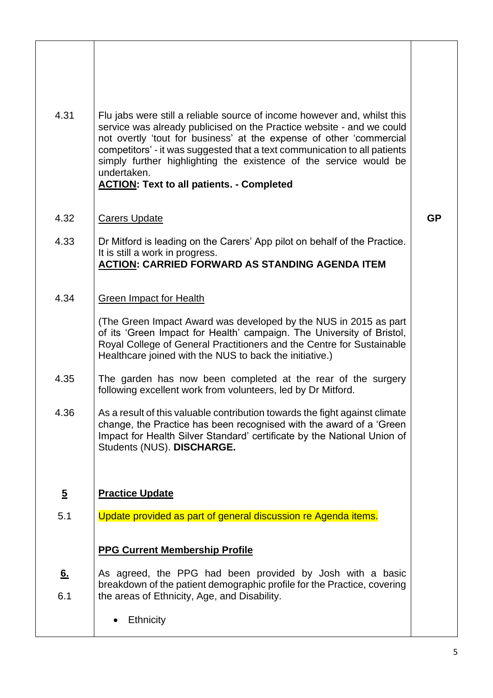| 4.31           | Flu jabs were still a reliable source of income however and, whilst this<br>service was already publicised on the Practice website - and we could<br>not overtly 'tout for business' at the expense of other 'commercial<br>competitors' - it was suggested that a text communication to all patients<br>simply further highlighting the existence of the service would be<br>undertaken.<br><b>ACTION: Text to all patients. - Completed</b> |           |
|----------------|-----------------------------------------------------------------------------------------------------------------------------------------------------------------------------------------------------------------------------------------------------------------------------------------------------------------------------------------------------------------------------------------------------------------------------------------------|-----------|
| 4.32           | <b>Carers Update</b>                                                                                                                                                                                                                                                                                                                                                                                                                          | <b>GP</b> |
| 4.33           | Dr Mitford is leading on the Carers' App pilot on behalf of the Practice.<br>It is still a work in progress.<br><b>ACTION: CARRIED FORWARD AS STANDING AGENDA ITEM</b>                                                                                                                                                                                                                                                                        |           |
| 4.34           | <b>Green Impact for Health</b>                                                                                                                                                                                                                                                                                                                                                                                                                |           |
|                | (The Green Impact Award was developed by the NUS in 2015 as part<br>of its 'Green Impact for Health' campaign. The University of Bristol,<br>Royal College of General Practitioners and the Centre for Sustainable<br>Healthcare joined with the NUS to back the initiative.)                                                                                                                                                                 |           |
| 4.35           | The garden has now been completed at the rear of the surgery<br>following excellent work from volunteers, led by Dr Mitford.                                                                                                                                                                                                                                                                                                                  |           |
| 4.36           | As a result of this valuable contribution towards the fight against climate<br>change, the Practice has been recognised with the award of a 'Green<br>Impact for Health Silver Standard' certificate by the National Union of<br>Students (NUS). DISCHARGE.                                                                                                                                                                                   |           |
| $\overline{5}$ | <b>Practice Update</b>                                                                                                                                                                                                                                                                                                                                                                                                                        |           |
| 5.1            | Update provided as part of general discussion re Agenda items.                                                                                                                                                                                                                                                                                                                                                                                |           |
|                | <b>PPG Current Membership Profile</b>                                                                                                                                                                                                                                                                                                                                                                                                         |           |
| 6.             | As agreed, the PPG had been provided by Josh with a basic<br>breakdown of the patient demographic profile for the Practice, covering                                                                                                                                                                                                                                                                                                          |           |
| 6.1            | the areas of Ethnicity, Age, and Disability.<br><b>Ethnicity</b>                                                                                                                                                                                                                                                                                                                                                                              |           |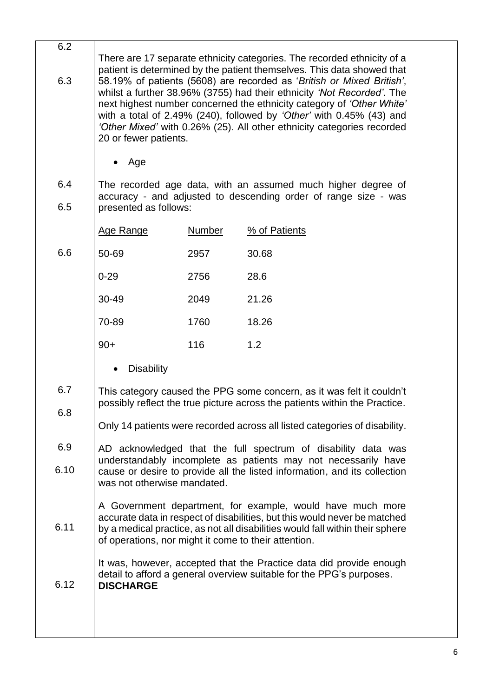| 6.2 |                                                                                                                                                                                                                                                                                                                                                                                                     |
|-----|-----------------------------------------------------------------------------------------------------------------------------------------------------------------------------------------------------------------------------------------------------------------------------------------------------------------------------------------------------------------------------------------------------|
|     | There are 17 separate ethnicity categories. The recorded ethnicity of a<br>patient is determined by the patient themselves. This data showed that                                                                                                                                                                                                                                                   |
| 6.3 | 58.19% of patients (5608) are recorded as 'British or Mixed British',<br>whilst a further 38.96% (3755) had their ethnicity 'Not Recorded'. The<br>next highest number concerned the ethnicity category of 'Other White'<br>with a total of 2.49% (240), followed by 'Other' with 0.45% (43) and<br>'Other Mixed' with 0.26% (25). All other ethnicity categories recorded<br>20 or fewer patients. |
|     |                                                                                                                                                                                                                                                                                                                                                                                                     |

6.4 6.5 The recorded age data, with an assumed much higher degree of accuracy - and adjusted to descending order of range size - was presented as follows:

|     | Age Range | Number | % of Patients |
|-----|-----------|--------|---------------|
| 6.6 | 50-69     | 2957   | 30.68         |
|     | $0 - 29$  | 2756   | 28.6          |
|     | 30-49     | 2049   | 21.26         |
|     | 70-89     | 1760   | 18.26         |
|     | $90+$     | 116    | 1.2           |
|     |           |        |               |

- Disability
- 6.7 6.8 This category caused the PPG some concern, as it was felt it couldn't possibly reflect the true picture across the patients within the Practice.
	- Only 14 patients were recorded across all listed categories of disability.
- 6.9 6.10 AD acknowledged that the full spectrum of disability data was understandably incomplete as patients may not necessarily have cause or desire to provide all the listed information, and its collection was not otherwise mandated.

6.11 A Government department, for example, would have much more accurate data in respect of disabilities, but this would never be matched by a medical practice, as not all disabilities would fall within their sphere of operations, nor might it come to their attention.

> It was, however, accepted that the Practice data did provide enough detail to afford a general overview suitable for the PPG's purposes.

## 6.12 **DISCHARGE**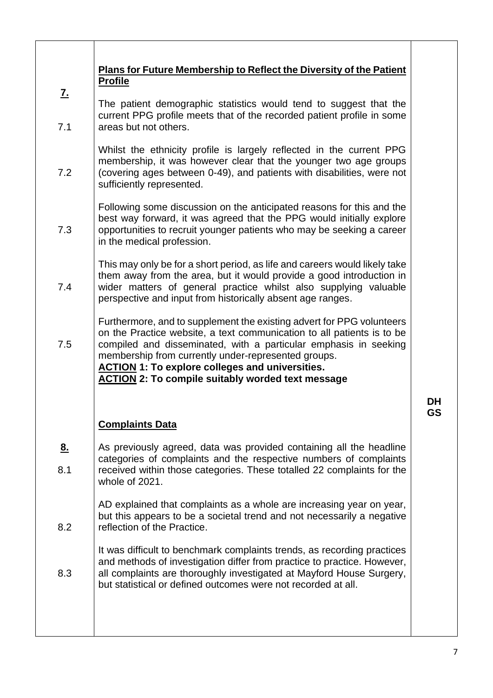| <u>Z.</u><br>7.1<br>7.2 | <b>Plans for Future Membership to Reflect the Diversity of the Patient</b><br><b>Profile</b><br>The patient demographic statistics would tend to suggest that the<br>current PPG profile meets that of the recorded patient profile in some<br>areas but not others.<br>Whilst the ethnicity profile is largely reflected in the current PPG<br>membership, it was however clear that the younger two age groups<br>(covering ages between 0-49), and patients with disabilities, were not<br>sufficiently represented. |          |
|-------------------------|-------------------------------------------------------------------------------------------------------------------------------------------------------------------------------------------------------------------------------------------------------------------------------------------------------------------------------------------------------------------------------------------------------------------------------------------------------------------------------------------------------------------------|----------|
| 7.3                     | Following some discussion on the anticipated reasons for this and the<br>best way forward, it was agreed that the PPG would initially explore<br>opportunities to recruit younger patients who may be seeking a career<br>in the medical profession.                                                                                                                                                                                                                                                                    |          |
| 7.4                     | This may only be for a short period, as life and careers would likely take<br>them away from the area, but it would provide a good introduction in<br>wider matters of general practice whilst also supplying valuable<br>perspective and input from historically absent age ranges.                                                                                                                                                                                                                                    |          |
| 7.5                     | Furthermore, and to supplement the existing advert for PPG volunteers<br>on the Practice website, a text communication to all patients is to be<br>compiled and disseminated, with a particular emphasis in seeking<br>membership from currently under-represented groups.<br><b>ACTION 1: To explore colleges and universities.</b><br><b>ACTION 2: To compile suitably worded text message</b>                                                                                                                        |          |
|                         |                                                                                                                                                                                                                                                                                                                                                                                                                                                                                                                         | DΗ<br>GS |
|                         | <b>Complaints Data</b>                                                                                                                                                                                                                                                                                                                                                                                                                                                                                                  |          |
| <u>8.</u><br>8.1        | As previously agreed, data was provided containing all the headline<br>categories of complaints and the respective numbers of complaints<br>received within those categories. These totalled 22 complaints for the<br>whole of 2021.                                                                                                                                                                                                                                                                                    |          |
| 8.2                     | AD explained that complaints as a whole are increasing year on year,<br>but this appears to be a societal trend and not necessarily a negative<br>reflection of the Practice.                                                                                                                                                                                                                                                                                                                                           |          |
| 8.3                     | It was difficult to benchmark complaints trends, as recording practices<br>and methods of investigation differ from practice to practice. However,<br>all complaints are thoroughly investigated at Mayford House Surgery,<br>but statistical or defined outcomes were not recorded at all.                                                                                                                                                                                                                             |          |
|                         |                                                                                                                                                                                                                                                                                                                                                                                                                                                                                                                         |          |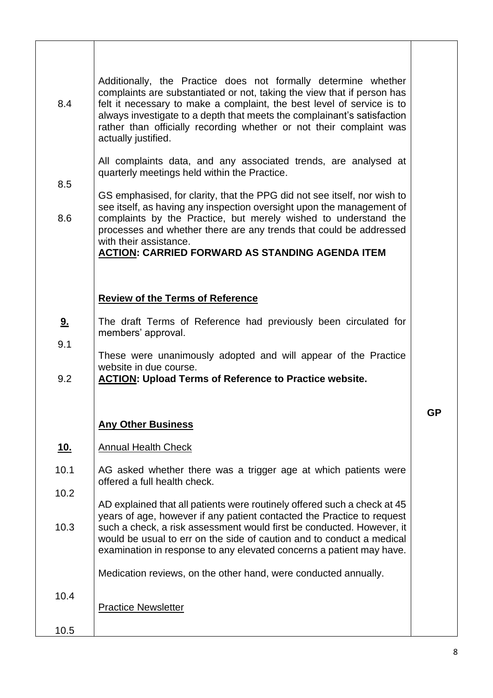| 8.4                     | Additionally, the Practice does not formally determine whether<br>complaints are substantiated or not, taking the view that if person has<br>felt it necessary to make a complaint, the best level of service is to<br>always investigate to a depth that meets the complainant's satisfaction<br>rather than officially recording whether or not their complaint was<br>actually justified.                                                                                                      |           |
|-------------------------|---------------------------------------------------------------------------------------------------------------------------------------------------------------------------------------------------------------------------------------------------------------------------------------------------------------------------------------------------------------------------------------------------------------------------------------------------------------------------------------------------|-----------|
| 8.5<br>8.6              | All complaints data, and any associated trends, are analysed at<br>quarterly meetings held within the Practice.<br>GS emphasised, for clarity, that the PPG did not see itself, nor wish to<br>see itself, as having any inspection oversight upon the management of<br>complaints by the Practice, but merely wished to understand the<br>processes and whether there are any trends that could be addressed<br>with their assistance.<br><b>ACTION: CARRIED FORWARD AS STANDING AGENDA ITEM</b> |           |
| <u>9.</u><br>9.1<br>9.2 | <b>Review of the Terms of Reference</b><br>The draft Terms of Reference had previously been circulated for<br>members' approval.<br>These were unanimously adopted and will appear of the Practice<br>website in due course.<br><b>ACTION: Upload Terms of Reference to Practice website.</b>                                                                                                                                                                                                     |           |
|                         | <b>Any Other Business</b>                                                                                                                                                                                                                                                                                                                                                                                                                                                                         | <b>GP</b> |
| <u>10.</u>              | <b>Annual Health Check</b>                                                                                                                                                                                                                                                                                                                                                                                                                                                                        |           |
| 10.1                    | AG asked whether there was a trigger age at which patients were<br>offered a full health check.                                                                                                                                                                                                                                                                                                                                                                                                   |           |
| 10.2<br>10.3            | AD explained that all patients were routinely offered such a check at 45<br>years of age, however if any patient contacted the Practice to request<br>such a check, a risk assessment would first be conducted. However, it<br>would be usual to err on the side of caution and to conduct a medical<br>examination in response to any elevated concerns a patient may have.                                                                                                                      |           |
| 10.4<br>10.5            | Medication reviews, on the other hand, were conducted annually.<br><b>Practice Newsletter</b>                                                                                                                                                                                                                                                                                                                                                                                                     |           |

┑